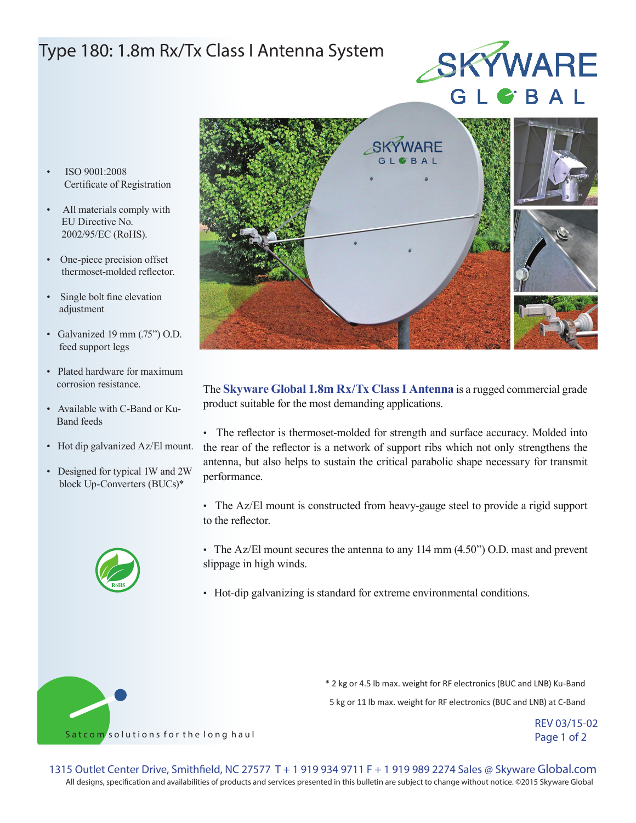## Type 180: 1.8m Rx/Tx Class I Antenna System

# SKYWARE

- ISO 9001:2008 Certificate of Registration
- All materials comply with EU Directive No. 2002/95/EC (RoHS).
- One-piece precision offset thermoset-molded reflector.
- Single bolt fine elevation adjustment
- Galvanized 19 mm (.75") O.D. feed support legs
- Plated hardware for maximum corrosion resistance.
- Available with C-Band or Ku- Band feeds
- Hot dip galvanized Az/El mount.
- Designed for typical 1W and 2W block Up-Converters (BUCs)\*





The **Skyware Global 1.8m Rx/Tx Class I Antenna** is a rugged commercial grade product suitable for the most demanding applications.

• The reflector is thermoset-molded for strength and surface accuracy. Molded into the rear of the reflector is a network of support ribs which not only strengthens the antenna, but also helps to sustain the critical parabolic shape necessary for transmit performance.

- The Az/El mount is constructed from heavy-gauge steel to provide a rigid support to the reflector.
- The Az/El mount secures the antenna to any 114 mm (4.50") O.D. mast and prevent slippage in high winds.
- Hot-dip galvanizing is standard for extreme environmental conditions.



\* 2 kg or 4.5 lb max. weight for RF electronics (BUC and LNB) Ku-Band 5 kg or 11 lb max. weight for RF electronics (BUC and LNB) at C-Band

> REV 03/15-02 Page 1 of 2

All designs, specification and availabilities of products and services presented in this bulletin are subject to change without notice. ©2015 Skyware Global 1315 Outlet Center Drive, Smithfield, NC 27577 T + 1 919 934 9711 F + 1 919 989 2274 Sales @ Skyware Global.com